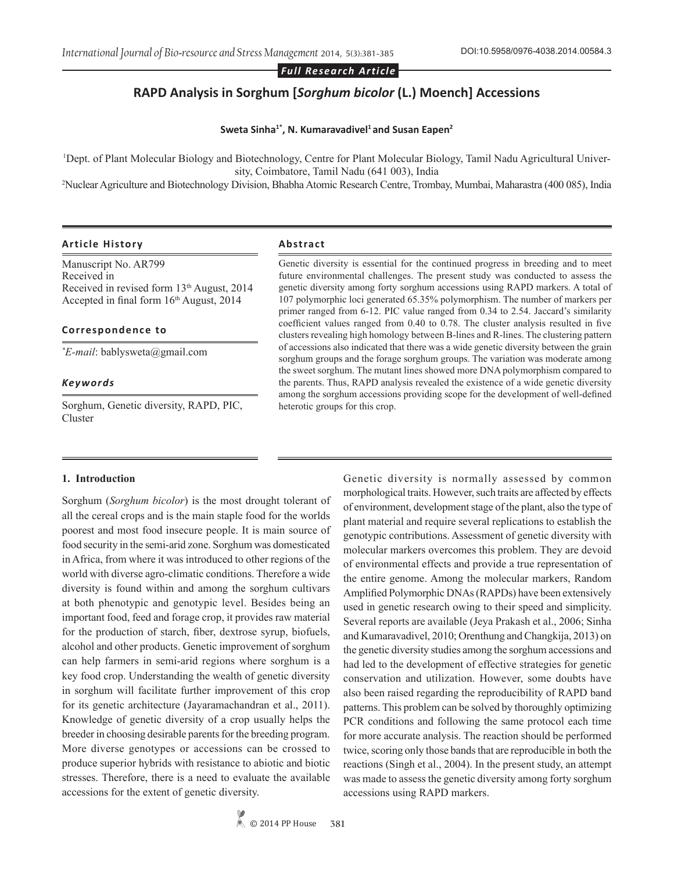*Full Research Article*

# **RAPD Analysis in Sorghum [***Sorghum bicolor* **(L.) Moench] Accessions**

#### Sweta Sinha<sup>1\*</sup>, N. Kumaravadivel<sup>1</sup> and Susan Eapen<sup>2</sup>

1 Dept. of Plant Molecular Biology and Biotechnology, Centre for Plant Molecular Biology, Tamil Nadu Agricultural University, Coimbatore, Tamil Nadu (641 003), India 2 Nuclear Agriculture and Biotechnology Division, Bhabha Atomic Research Centre, Trombay, Mumbai, Maharastra (400 085), India

#### **Article History Abstract**

Manuscript No. AR799 Received in Received in revised form 13<sup>th</sup> August, 2014 Accepted in final form  $16<sup>th</sup>$  August, 2014

#### **Correspondence to**

*\* E-mail*: bablysweta@gmail.com

#### *Keywords*

Sorghum, Genetic diversity, RAPD, PIC, Cluster

Genetic diversity is essential for the continued progress in breeding and to meet future environmental challenges. The present study was conducted to assess the genetic diversity among forty sorghum accessions using RAPD markers. A total of 107 polymorphic loci generated 65.35% polymorphism. The number of markers per primer ranged from 6-12. PIC value ranged from 0.34 to 2.54. Jaccard's similarity coefficient values ranged from 0.40 to 0.78. The cluster analysis resulted in five clusters revealing high homology between B-lines and R-lines. The clustering pattern of accessions also indicated that there was a wide genetic diversity between the grain sorghum groups and the forage sorghum groups. The variation was moderate among the sweet sorghum. The mutant lines showed more DNA polymorphism compared to the parents. Thus, RAPD analysis revealed the existence of a wide genetic diversity among the sorghum accessions providing scope for the development of well-defined heterotic groups for this crop.

#### **1. Introduction**

Sorghum (*Sorghum bicolor*) is the most drought tolerant of all the cereal crops and is the main staple food for the worlds poorest and most food insecure people. It is main source of food security in the semi-arid zone. Sorghum was domesticated in Africa, from where it was introduced to other regions of the world with diverse agro-climatic conditions. Therefore a wide diversity is found within and among the sorghum cultivars at both phenotypic and genotypic level. Besides being an important food, feed and forage crop, it provides raw material for the production of starch, fiber, dextrose syrup, biofuels, alcohol and other products. Genetic improvement of sorghum can help farmers in semi-arid regions where sorghum is a key food crop. Understanding the wealth of genetic diversity in sorghum will facilitate further improvement of this crop for its genetic architecture (Jayaramachandran et al., 2011). Knowledge of genetic diversity of a crop usually helps the breeder in choosing desirable parents for the breeding program. More diverse genotypes or accessions can be crossed to produce superior hybrids with resistance to abiotic and biotic stresses. Therefore, there is a need to evaluate the available accessions for the extent of genetic diversity.

Genetic diversity is normally assessed by common morphological traits. However, such traits are affected by effects of environment, development stage of the plant, also the type of plant material and require several replications to establish the genotypic contributions. Assessment of genetic diversity with molecular markers overcomes this problem. They are devoid of environmental effects and provide a true representation of the entire genome. Among the molecular markers, Random Amplified Polymorphic DNAs (RAPDs) have been extensively used in genetic research owing to their speed and simplicity. Several reports are available (Jeya Prakash et al., 2006; Sinha and Kumaravadivel, 2010; Orenthung and Changkija, 2013) on the genetic diversity studies among the sorghum accessions and had led to the development of effective strategies for genetic conservation and utilization. However, some doubts have also been raised regarding the reproducibility of RAPD band patterns. This problem can be solved by thoroughly optimizing PCR conditions and following the same protocol each time for more accurate analysis. The reaction should be performed twice, scoring only those bands that are reproducible in both the reactions (Singh et al., 2004). In the present study, an attempt was made to assess the genetic diversity among forty sorghum accessions using RAPD markers.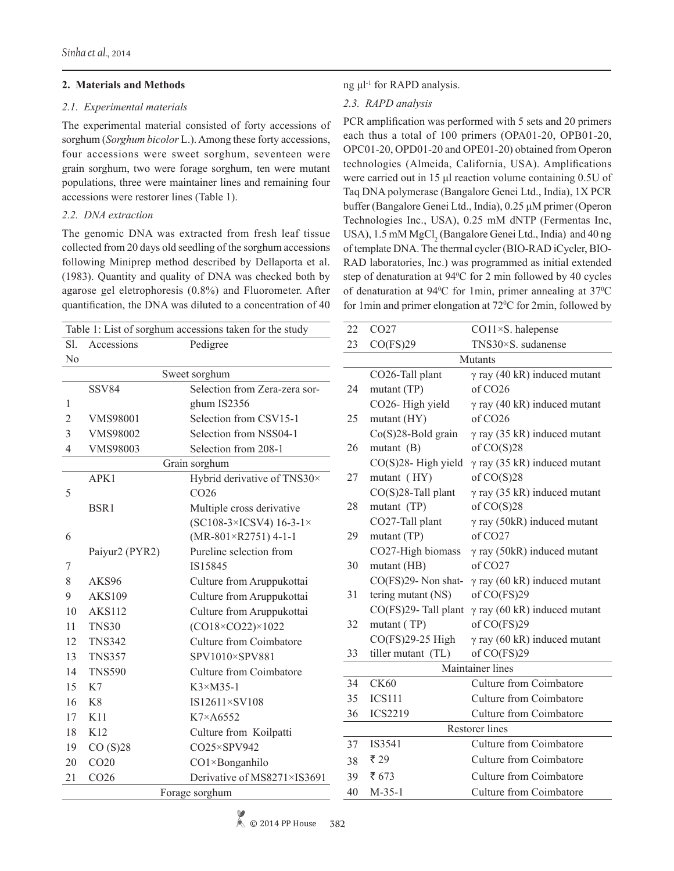# **2. Materials and Methods**

## *2.1. Experimental materials*

The experimental material consisted of forty accessions of sorghum (*Sorghum bicolor* L.). Among these forty accessions, four accessions were sweet sorghum, seventeen were grain sorghum, two were forage sorghum, ten were mutant populations, three were maintainer lines and remaining four accessions were restorer lines (Table 1).

# *2.2. DNA extraction*

The genomic DNA was extracted from fresh leaf tissue collected from 20 days old seedling of the sorghum accessions following Miniprep method described by Dellaporta et al. (1983). Quantity and quality of DNA was checked both by agarose gel eletrophoresis (0.8%) and Fluorometer. After quantification, the DNA was diluted to a concentration of 40

| Table 1: List of sorghum accessions taken for the study |                        |                                 |    |  |  |  |  |
|---------------------------------------------------------|------------------------|---------------------------------|----|--|--|--|--|
| Sl.                                                     | Accessions<br>Pedigree |                                 |    |  |  |  |  |
| No                                                      |                        |                                 |    |  |  |  |  |
| Sweet sorghum                                           |                        |                                 |    |  |  |  |  |
|                                                         | <b>SSV84</b>           | Selection from Zera-zera sor-   | 24 |  |  |  |  |
| 1                                                       |                        | ghum IS2356                     |    |  |  |  |  |
| $\overline{c}$                                          | <b>VMS98001</b>        | Selection from CSV15-1          | 25 |  |  |  |  |
| 3                                                       | <b>VMS98002</b>        | Selection from NSS04-1          |    |  |  |  |  |
| 4                                                       | <b>VMS98003</b>        | Selection from 208-1            | 26 |  |  |  |  |
|                                                         |                        | Grain sorghum                   |    |  |  |  |  |
|                                                         | APK1                   | Hybrid derivative of TNS30×     | 27 |  |  |  |  |
| 5                                                       |                        | CO <sub>26</sub>                |    |  |  |  |  |
|                                                         | BSR1                   | Multiple cross derivative       | 28 |  |  |  |  |
|                                                         |                        | $(SC108-3\times ICSV4)$ 16-3-1× |    |  |  |  |  |
| 6                                                       |                        | $(MR-801\times R2751)$ 4-1-1    | 29 |  |  |  |  |
|                                                         | Paiyur2 (PYR2)         | Pureline selection from         |    |  |  |  |  |
| 7                                                       |                        | IS15845                         | 30 |  |  |  |  |
| 8                                                       | AKS96                  | Culture from Aruppukottai       |    |  |  |  |  |
| 9                                                       | <b>AKS109</b>          | Culture from Aruppukottai       | 31 |  |  |  |  |
| 10                                                      | <b>AKS112</b>          | Culture from Aruppukottai       |    |  |  |  |  |
| 11                                                      | <b>TNS30</b>           | $(CO18\times CO22)\times 1022$  | 32 |  |  |  |  |
| 12                                                      | <b>TNS342</b>          | Culture from Coimbatore         |    |  |  |  |  |
| 13                                                      | <b>TNS357</b>          | SPV1010×SPV881                  | 33 |  |  |  |  |
| 14                                                      | <b>TNS590</b>          | <b>Culture from Coimbatore</b>  |    |  |  |  |  |
| 15                                                      | K7                     | $K3 \times M35 - 1$             | 34 |  |  |  |  |
| 16                                                      | K8                     | IS12611×SV108                   | 35 |  |  |  |  |
| 17                                                      | K11                    | K7×A6552                        | 36 |  |  |  |  |
| 18                                                      | K12                    | Culture from Koilpatti          |    |  |  |  |  |
| 19                                                      | CO(S)28                | CO25×SPV942                     | 37 |  |  |  |  |
| 20                                                      | CO <sub>20</sub>       | CO1×Bonganhilo                  | 38 |  |  |  |  |
| 21                                                      | CO <sub>26</sub>       | Derivative of MS8271×IS3691     | 39 |  |  |  |  |
| Forage sorghum<br>40                                    |                        |                                 |    |  |  |  |  |

# ng μl-1 for RAPD analysis.

# *2.3. RAPD analysis*

PCR amplification was performed with 5 sets and 20 primers each thus a total of 100 primers (OPA01-20, OPB01-20, OPC01-20, OPD01-20 and OPE01-20) obtained from Operon technologies (Almeida, California, USA). Amplifications were carried out in 15 μl reaction volume containing 0.5U of Taq DNA polymerase (Bangalore Genei Ltd., India), 1X PCR buffer (Bangalore Genei Ltd., India), 0.25 μM primer (Operon Technologies Inc., USA), 0.25 mM dNTP (Fermentas Inc, USA), 1.5 mM MgCl<sub>2</sub> (Bangalore Genei Ltd., India) and 40 ng of template DNA. The thermal cycler (BIO-RAD iCycler, BIO-RAD laboratories, Inc.) was programmed as initial extended step of denaturation at 94<sup>°</sup>C for 2 min followed by 40 cycles of denaturation at 94°C for 1min, primer annealing at 37°C for 1 min and primer elongation at  $72^{\circ}$ C for 2 min, followed by

| 22      | CO27                  | $CO11\times S$ . halepense          |  |  |  |  |  |
|---------|-----------------------|-------------------------------------|--|--|--|--|--|
| 23      | CO(FS)29              | TNS30×S. sudanense                  |  |  |  |  |  |
| Mutants |                       |                                     |  |  |  |  |  |
|         | CO26-Tall plant       | $\gamma$ ray (40 kR) induced mutant |  |  |  |  |  |
| 24      | mutant (TP)           | of CO26                             |  |  |  |  |  |
|         | CO26-High yield       | $\gamma$ ray (40 kR) induced mutant |  |  |  |  |  |
| 25      | mutant (HY)           | of CO <sub>26</sub>                 |  |  |  |  |  |
|         | $Co(S)28$ -Bold grain | $\gamma$ ray (35 kR) induced mutant |  |  |  |  |  |
| 26      | mutant $(B)$          | of $CO(S)28$                        |  |  |  |  |  |
|         | $CO(S)28$ -High yield | $\gamma$ ray (35 kR) induced mutant |  |  |  |  |  |
| 27      | mutant (HY)           | of $CO(S)28$                        |  |  |  |  |  |
|         | CO(S)28-Tall plant    | $\gamma$ ray (35 kR) induced mutant |  |  |  |  |  |
| 28      | mutant (TP)           | of $CO(S)28$                        |  |  |  |  |  |
|         | CO27-Tall plant       | $\gamma$ ray (50kR) induced mutant  |  |  |  |  |  |
| 29      | mutant (TP)           | of CO27                             |  |  |  |  |  |
|         | CO27-High biomass     | $\gamma$ ray (50kR) induced mutant  |  |  |  |  |  |
| 30      | mutant (HB)           | of CO27                             |  |  |  |  |  |
|         | CO(FS)29- Non shat-   | $\gamma$ ray (60 kR) induced mutant |  |  |  |  |  |
| 31      | tering mutant (NS)    | of CO(FS)29                         |  |  |  |  |  |
|         | CO(FS)29- Tall plant  | $\gamma$ ray (60 kR) induced mutant |  |  |  |  |  |
| 32      | mutant (TP)           | of CO(FS)29                         |  |  |  |  |  |
|         | CO(FS)29-25 High      | $\gamma$ ray (60 kR) induced mutant |  |  |  |  |  |
| 33      | tiller mutant (TL)    | of CO(FS)29                         |  |  |  |  |  |
|         |                       | Maintainer lines                    |  |  |  |  |  |
| 34      | <b>CK60</b>           | <b>Culture from Coimbatore</b>      |  |  |  |  |  |
| 35      | <b>ICS111</b>         | <b>Culture from Coimbatore</b>      |  |  |  |  |  |
| 36      | <b>ICS2219</b>        | Culture from Coimbatore             |  |  |  |  |  |
|         |                       | <b>Restorer</b> lines               |  |  |  |  |  |
| 37      | IS3541                | <b>Culture from Coimbatore</b>      |  |  |  |  |  |
| 38      | ₹ 29                  | <b>Culture from Coimbatore</b>      |  |  |  |  |  |
| 39      | ₹ 673                 | <b>Culture from Coimbatore</b>      |  |  |  |  |  |
| 40      | $M-35-1$              | <b>Culture from Coimbatore</b>      |  |  |  |  |  |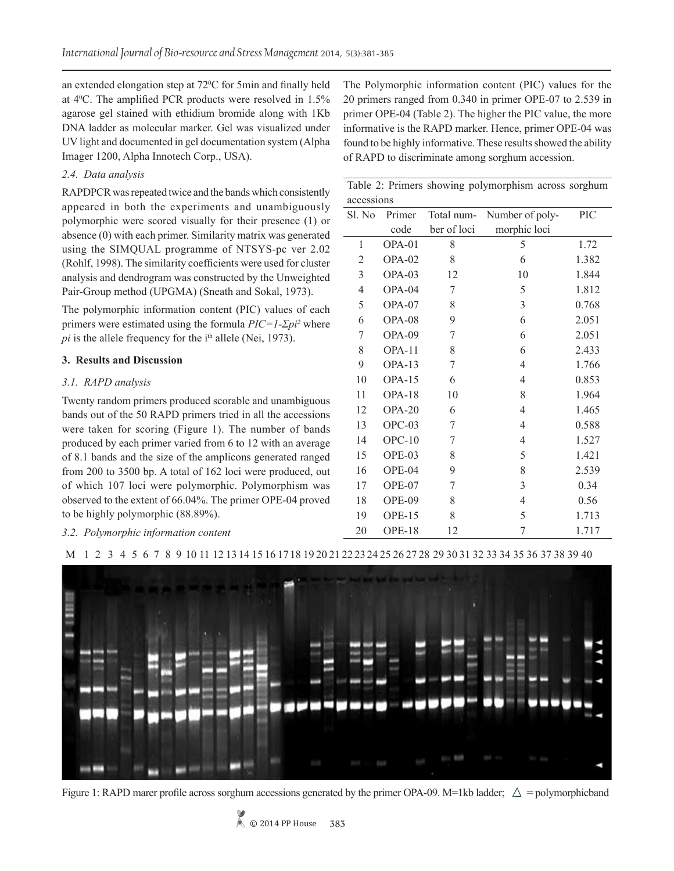an extended elongation step at 72<sup>o</sup>C for 5min and finally held at 40 C. The amplified PCR products were resolved in 1.5% agarose gel stained with ethidium bromide along with 1Kb DNA ladder as molecular marker. Gel was visualized under UV light and documented in gel documentation system (Alpha Imager 1200, Alpha Innotech Corp., USA).

# *2.4. Data analysis*

RAPDPCR was repeated twice and the bands which consistently appeared in both the experiments and unambiguously polymorphic were scored visually for their presence (1) or absence (0) with each primer. Similarity matrix was generated using the SIMQUAL programme of NTSYS-pc ver 2.02 (Rohlf, 1998). The similarity coefficients were used for cluster analysis and dendrogram was constructed by the Unweighted Pair-Group method (UPGMA) (Sneath and Sokal, 1973).

The polymorphic information content (PIC) values of each primers were estimated using the formula *PIC=1-Σpi<sup>2</sup>* where  $pi$  is the allele frequency for the  $i<sup>th</sup>$  allele (Nei, 1973).

## **3. Results and Discussion**

## *3.1. RAPD analysis*

Twenty random primers produced scorable and unambiguous bands out of the 50 RAPD primers tried in all the accessions were taken for scoring (Figure 1). The number of bands produced by each primer varied from 6 to 12 with an average of 8.1 bands and the size of the amplicons generated ranged from 200 to 3500 bp. A total of 162 loci were produced, out of which 107 loci were polymorphic. Polymorphism was observed to the extent of 66.04%. The primer OPE-04 proved to be highly polymorphic (88.89%).

*3.2. Polymorphic information content*

The Polymorphic information content (PIC) values for the 20 primers ranged from 0.340 in primer OPE-07 to 2.539 in primer OPE-04 (Table 2). The higher the PIC value, the more informative is the RAPD marker. Hence, primer OPE-04 was found to be highly informative. These results showed the ability of RAPD to discriminate among sorghum accession.

| Table 2: Primers showing polymorphism across sorghum |  |  |
|------------------------------------------------------|--|--|
| accessions                                           |  |  |

| accessions<br>Sl. No | Primer   | Total num-  | Number of poly- | PIC   |
|----------------------|----------|-------------|-----------------|-------|
|                      | code     | ber of loci | morphic loci    |       |
| 1                    | OPA-01   | 8           | 5               | 1.72  |
| $\overline{2}$       | OPA-02   | 8           | 6               | 1.382 |
| $\overline{3}$       | OPA-03   | 12          | 10              | 1.844 |
| $\overline{4}$       | OPA-04   | 7           | 5               | 1.812 |
| 5                    | OPA-07   | 8           | $\mathfrak{Z}$  | 0.768 |
| 6                    | OPA-08   | 9           | 6               | 2.051 |
| 7                    | OPA-09   | 7           | 6               | 2.051 |
| 8                    | $OPA-11$ | 8           | 6               | 2.433 |
| 9                    | OPA-13   | 7           | 4               | 1.766 |
| 10                   | OPA-15   | 6           | $\overline{4}$  | 0.853 |
| 11                   | $OPA-18$ | 10          | 8               | 1.964 |
| 12                   | OPA-20   | 6           | $\overline{4}$  | 1.465 |
| 13                   | $OPC-03$ | 7           | $\overline{4}$  | 0.588 |
| 14                   | $OPC-10$ | 7           | $\overline{4}$  | 1.527 |
| 15                   | OPE-03   | 8           | 5               | 1.421 |
| 16                   | OPE-04   | 9           | 8               | 2.539 |
| 17                   | OPE-07   | 7           | 3               | 0.34  |
| 18                   | OPE-09   | 8           | 4               | 0.56  |
| 19                   | $OPE-15$ | 8           | 5               | 1.713 |
| 20                   | OPE-18   | 12          | 7               | 1.717 |





Figure 1: RAPD marer profile across sorghum accessions generated by the primer OPA-09. M=1kb ladder;  $\triangle$  = polymorphicband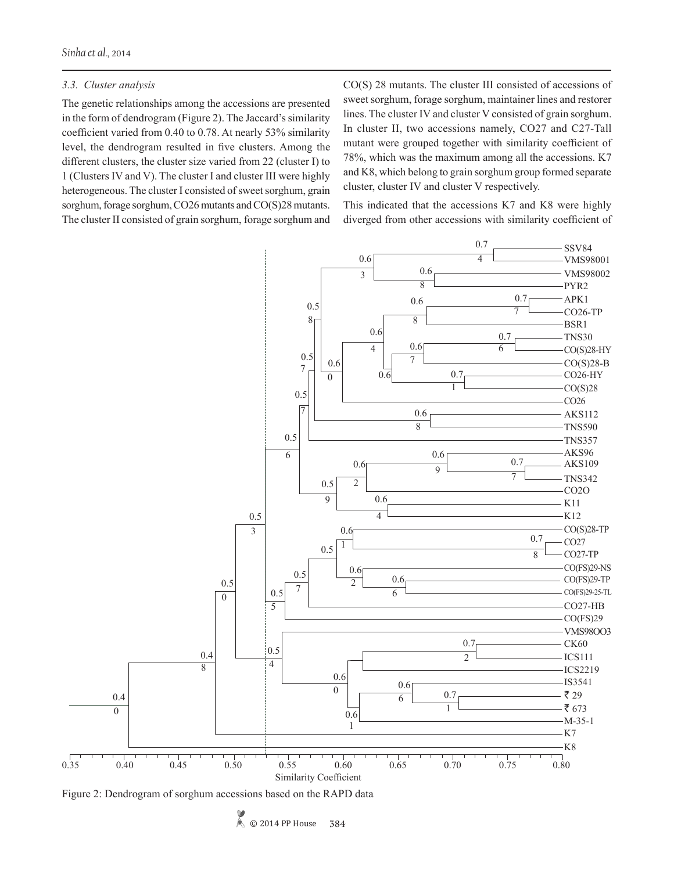### *3.3. Cluster analysis*

The genetic relationships among the accessions are presented in the form of dendrogram (Figure 2). The Jaccard's similarity coefficient varied from 0.40 to 0.78. At nearly 53% similarity level, the dendrogram resulted in five clusters. Among the different clusters, the cluster size varied from 22 (cluster I) to 1 (Clusters IV and V). The cluster I and cluster III were highly heterogeneous. The cluster I consisted of sweet sorghum, grain sorghum, forage sorghum, CO26 mutants and CO(S)28 mutants. The cluster II consisted of grain sorghum, forage sorghum and CO(S) 28 mutants. The cluster III consisted of accessions of sweet sorghum, forage sorghum, maintainer lines and restorer lines. The cluster IV and cluster V consisted of grain sorghum. In cluster II, two accessions namely, CO27 and C27-Tall mutant were grouped together with similarity coefficient of 78%, which was the maximum among all the accessions. K7 and K8, which belong to grain sorghum group formed separate cluster, cluster IV and cluster V respectively.

This indicated that the accessions K7 and K8 were highly diverged from other accessions with similarity coefficient of



Figure 2: Dendrogram of sorghum accessions based on the RAPD data